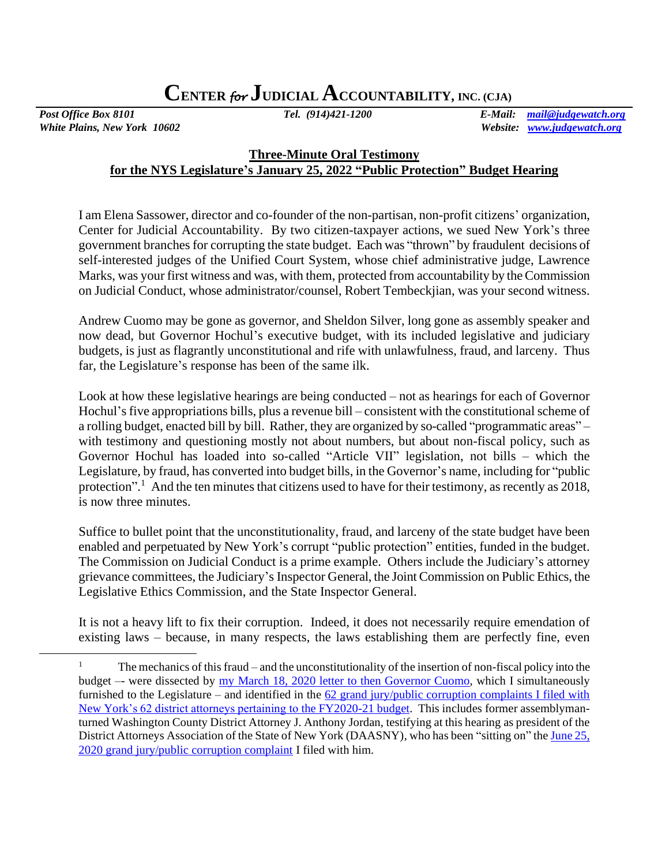## **CENTER** *for* **JUDICIAL ACCOUNTABILITY, INC. (CJA)**

*White Plains, New York 10602 Website: [www.judgewatch.org](http://www.judgewatch.org/)*

*Post Office Box 8101 Tel. (914)421-1200 E-Mail: [mail@judgewatch.org](mailto:mail@judgewatch.org)*

## **Three-Minute Oral Testimony for the NYS Legislature's January 25, 2022 "Public Protection" Budget Hearing**

I am Elena Sassower, director and co-founder of the non-partisan, non-profit citizens' organization, Center for Judicial Accountability. By two citizen-taxpayer actions, we sued New York's three government branches for corrupting the state budget. Each was "thrown" by fraudulent decisions of self-interested judges of the Unified Court System, whose chief administrative judge, Lawrence Marks, was your first witness and was, with them, protected from accountability by the Commission on Judicial Conduct, whose administrator/counsel, Robert Tembeckjian, was your second witness.

Andrew Cuomo may be gone as governor, and Sheldon Silver, long gone as assembly speaker and now dead, but Governor Hochul's executive budget, with its included legislative and judiciary budgets, is just as flagrantly unconstitutional and rife with unlawfulness, fraud, and larceny. Thus far, the Legislature's response has been of the same ilk.

Look at how these legislative hearings are being conducted – not as hearings for each of Governor Hochul's five appropriations bills, plus a revenue bill – consistent with the constitutional scheme of a rolling budget, enacted bill by bill. Rather, they are organized by so-called "programmatic areas" – with testimony and questioning mostly not about numbers, but about non-fiscal policy, such as Governor Hochul has loaded into so-called "Article VII" legislation, not bills – which the Legislature, by fraud, has converted into budget bills, in the Governor's name, including for "public protection".<sup>1</sup> And the ten minutes that citizens used to have for their testimony, as recently as 2018, is now three minutes.

Suffice to bullet point that the unconstitutionality, fraud, and larceny of the state budget have been enabled and perpetuated by New York's corrupt "public protection" entities, funded in the budget. The Commission on Judicial Conduct is a prime example. Others include the Judiciary's attorney grievance committees, the Judiciary's Inspector General, the Joint Commission on Public Ethics, the Legislative Ethics Commission, and the State Inspector General.

It is not a heavy lift to fix their corruption. Indeed, it does not necessarily require emendation of existing laws – because, in many respects, the laws establishing them are perfectly fine, even

<sup>&</sup>lt;sup>1</sup> The mechanics of this fraud – and the unconstitutionality of the insertion of non-fiscal policy into the budget –- were dissected by my [March 18, 2020 letter to then Governor Cuomo,](https://www.judgewatch.org/web-pages/searching-nys/2020-legislative/3-18-20-ltr-to-gov.htm) which I simultaneously furnished to the Legislature – and identified in the  $62$  grand jury/public corruption complaints I filed with [New York's 62 district attorneys pertaining to the FY2020-21 budget.](https://www.judgewatch.org/web-pages/searching-nys/2020-legislative/da-complaints-to-soares-plus-61-more.htm) This includes former assemblymanturned Washington County District Attorney J. Anthony Jordan, testifying at this hearing as president of the District Attorneys Association of the State of New York (DAASNY), who has been "sitting on" the [June 25,](http://www.judgewatch.org/nys-2020-21-budget/da-complaints/washington-6-25-20-complaint-jordan.pdf)  [2020 grand jury/public corruption complaint](http://www.judgewatch.org/nys-2020-21-budget/da-complaints/washington-6-25-20-complaint-jordan.pdf) I filed with him.